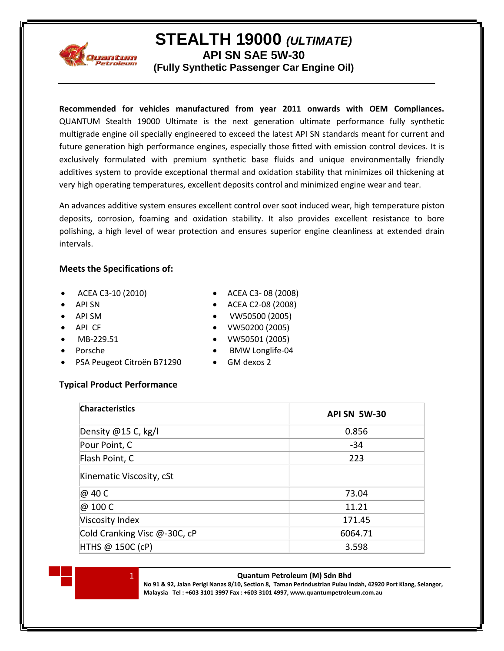

# **STEALTH 19000** *(ULTIMATE)*

**API SN SAE 5W-30**

**(Fully Synthetic Passenger Car Engine Oil)**

**Recommended for vehicles manufactured from year 2011 onwards with OEM Compliances.** QUANTUM Stealth 19000 Ultimate is the next generation ultimate performance fully synthetic multigrade engine oil specially engineered to exceed the latest API SN standards meant for current and future generation high performance engines, especially those fitted with emission control devices. It is exclusively formulated with premium synthetic base fluids and unique environmentally friendly additives system to provide exceptional thermal and oxidation stability that minimizes oil thickening at very high operating temperatures, excellent deposits control and minimized engine wear and tear.

An advances additive system ensures excellent control over soot induced wear, high temperature piston deposits, corrosion, foaming and oxidation stability. It also provides excellent resistance to bore polishing, a high level of wear protection and ensures superior engine cleanliness at extended drain intervals.

### **Meets the Specifications of:**

- ACEA C3-10 (2010)
- API SN
- API SM
- API CF
- MB-229.51
- Porsche
- PSA Peugeot Citroën B71290
- ACEA C3- 08 (2008)
- ACEA C2-08 (2008)
- VW50500 (2005)
- VW50200 (2005)
- VW50501 (2005)
- BMW Longlife-04
- GM dexos 2

## **Typical Product Performance**

| <b>Characteristics</b>       | <b>API SN 5W-30</b> |
|------------------------------|---------------------|
| Density @15 C, kg/l          | 0.856               |
| Pour Point, C                | $-34$               |
| Flash Point, C               | 223                 |
| Kinematic Viscosity, cSt     |                     |
| @ 40 C                       | 73.04               |
| @ 100 C                      | 11.21               |
| Viscosity Index              | 171.45              |
| Cold Cranking Visc @-30C, cP | 6064.71             |
| HTHS @ 150C (cP)             | 3.598               |



**No 91 & 92, Jalan Perigi Nanas 8/10, Section 8, Taman Perindustrian Pulau Indah, 42920 Port Klang, Selangor, Malaysia Tel : +603 3101 3997 Fax : +603 3101 4997, www.quantumpetroleum.com.au**